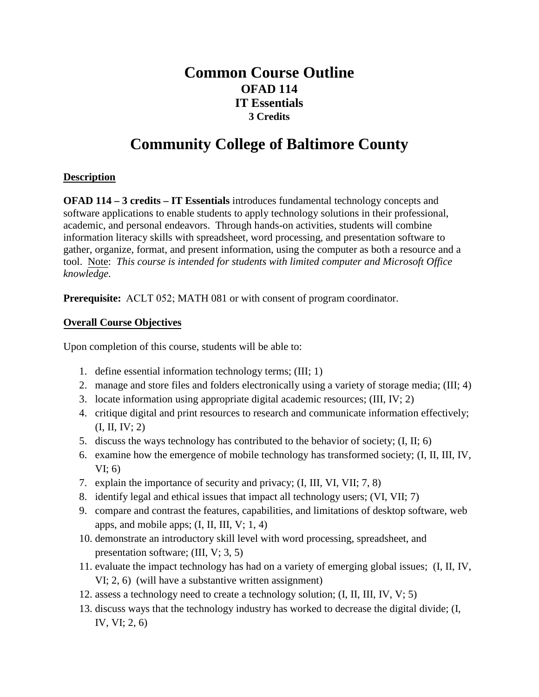# **Common Course Outline OFAD 114 IT Essentials 3 Credits**

# **Community College of Baltimore County**

# **Description**

**OFAD 114 – 3 credits – IT Essentials** introduces fundamental technology concepts and software applications to enable students to apply technology solutions in their professional, academic, and personal endeavors. Through hands-on activities, students will combine information literacy skills with spreadsheet, word processing, and presentation software to gather, organize, format, and present information, using the computer as both a resource and a tool. Note: *This course is intended for students with limited computer and Microsoft Office knowledge.*

**Prerequisite:** ACLT 052; MATH 081 or with consent of program coordinator.

# **Overall Course Objectives**

Upon completion of this course, students will be able to:

- 1. define essential information technology terms; (III; 1)
- 2. manage and store files and folders electronically using a variety of storage media; (III; 4)
- 3. locate information using appropriate digital academic resources; (III, IV; 2)
- 4. critique digital and print resources to research and communicate information effectively; (I, II, IV; 2)
- 5. discuss the ways technology has contributed to the behavior of society; (I, II; 6)
- 6. examine how the emergence of mobile technology has transformed society; (I, II, III, IV, VI; 6)
- 7. explain the importance of security and privacy; (I, III, VI, VII; 7, 8)
- 8. identify legal and ethical issues that impact all technology users; (VI, VII; 7)
- 9. compare and contrast the features, capabilities, and limitations of desktop software, web apps, and mobile apps;  $(I, II, III, V; 1, 4)$
- 10. demonstrate an introductory skill level with word processing, spreadsheet, and presentation software; (III, V; 3, 5)
- 11. evaluate the impact technology has had on a variety of emerging global issues; (I, II, IV, VI; 2, 6) (will have a substantive written assignment)
- 12. assess a technology need to create a technology solution; (I, II, III, IV, V; 5)
- 13. discuss ways that the technology industry has worked to decrease the digital divide; (I, IV, VI; 2, 6)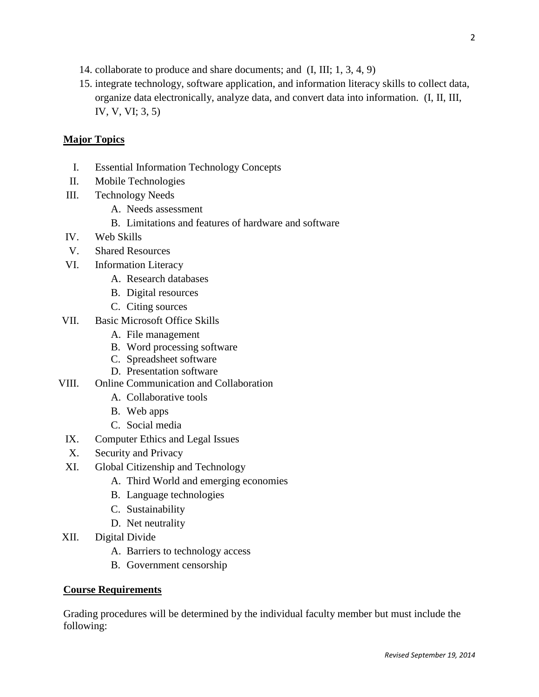- 14. collaborate to produce and share documents; and (I, III; 1, 3, 4, 9)
- 15. integrate technology, software application, and information literacy skills to collect data, organize data electronically, analyze data, and convert data into information. (I, II, III, IV, V, VI; 3, 5)

### **Major Topics**

- I. Essential Information Technology Concepts
- II. Mobile Technologies
- III. Technology Needs
	- A. Needs assessment
	- B. Limitations and features of hardware and software
- IV. Web Skills
- V. Shared Resources
- VI. Information Literacy
	- A. Research databases
	- B. Digital resources
	- C. Citing sources
- VII. Basic Microsoft Office Skills
	- A. File management
	- B. Word processing software
	- C. Spreadsheet software
	- D. Presentation software
- VIII. Online Communication and Collaboration
	- A. Collaborative tools
	- B. Web apps
	- C. Social media
	- IX. Computer Ethics and Legal Issues
	- X. Security and Privacy
	- XI. Global Citizenship and Technology
		- A. Third World and emerging economies
		- B. Language technologies
		- C. Sustainability
		- D. Net neutrality
- XII. Digital Divide
	- A. Barriers to technology access
	- B. Government censorship

#### **Course Requirements**

Grading procedures will be determined by the individual faculty member but must include the following: